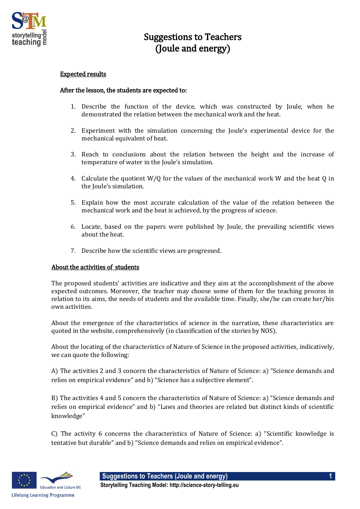

## Suggestions to Teachers (Joule and energy)

## Expected results

## After the lesson, the students are expected to:

- 1. Describe the function of the device, which was constructed by Joule, when he demonstrated the relation between the mechanical work and the heat.
- 2. Experiment with the simulation concerning the Joule's experimental device for the mechanical equivalent of heat.
- 3. Reach to conclusions about the relation between the height and the increase of temperature of water in the Joule's simulation.
- 4. Calculate the quotient W/Q for the values of the mechanical work W and the heat Q in the Joule's simulation.
- 5. Explain how the most accurate calculation of the value of the relation between the mechanical work and the heat is achieved, by the progress of science.
- 6. Locate, based on the papers were published by Joule, the prevailing scientific views about the heat.
- 7. Describe how the scientific views are progressed.

## About the activities of students

The proposed students' activities are indicative and they aim at the accomplishment of the above expected outcomes. Moreover, the teacher may choose some of them for the teaching process in relation to its aims, the needs of students and the available time. Finally, she/he can create her/his own activities.

About the emergence of the characteristics of science in the narration, these characteristics are quoted in the website, comprehensively (in classification of the stories by NOS).

About the locating of the characteristics of Nature of Science in the proposed activities, indicatively, we can quote the following:

A) The activities 2 and 3 concern the characteristics of Nature of Science: a) "Science demands and relies on empirical evidence" and b) "Science has a subjective element".

B) The activities 4 and 5 concern the characteristics of Nature of Science: a) "Science demands and relies on empirical evidence" and b) "Laws and theories are related but distinct kinds of scientific knowledge"

C) The activity 6 concerns the characteristics of Nature of Science: a) "Scientific knowledge is tentative but durable" and b) "Science demands and relies on empirical evidence".



**Suggestions to Teachers (Joule and energy) 1 Storytelling Teaching Model: http://science-story-telling.eu**